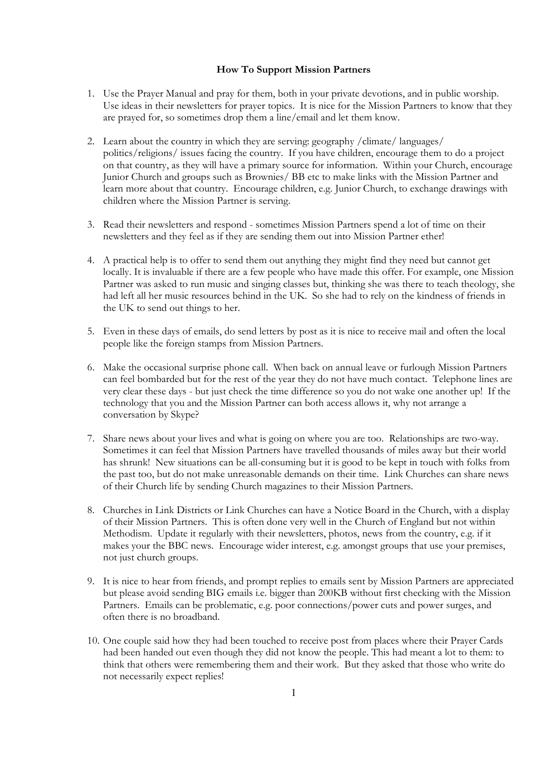## How To Support Mission Partners

- 1. Use the Prayer Manual and pray for them, both in your private devotions, and in public worship. Use ideas in their newsletters for prayer topics. It is nice for the Mission Partners to know that they are prayed for, so sometimes drop them a line/email and let them know.
- 2. Learn about the country in which they are serving: geography /climate/ languages/ politics/religions/ issues facing the country. If you have children, encourage them to do a project on that country, as they will have a primary source for information. Within your Church, encourage Junior Church and groups such as Brownies/ BB etc to make links with the Mission Partner and learn more about that country. Encourage children, e.g. Junior Church, to exchange drawings with children where the Mission Partner is serving.
- 3. Read their newsletters and respond sometimes Mission Partners spend a lot of time on their newsletters and they feel as if they are sending them out into Mission Partner ether!
- 4. A practical help is to offer to send them out anything they might find they need but cannot get locally. It is invaluable if there are a few people who have made this offer. For example, one Mission Partner was asked to run music and singing classes but, thinking she was there to teach theology, she had left all her music resources behind in the UK. So she had to rely on the kindness of friends in the UK to send out things to her.
- 5. Even in these days of emails, do send letters by post as it is nice to receive mail and often the local people like the foreign stamps from Mission Partners.
- 6. Make the occasional surprise phone call. When back on annual leave or furlough Mission Partners can feel bombarded but for the rest of the year they do not have much contact. Telephone lines are very clear these days - but just check the time difference so you do not wake one another up! If the technology that you and the Mission Partner can both access allows it, why not arrange a conversation by Skype?
- 7. Share news about your lives and what is going on where you are too. Relationships are two-way. Sometimes it can feel that Mission Partners have travelled thousands of miles away but their world has shrunk! New situations can be all-consuming but it is good to be kept in touch with folks from the past too, but do not make unreasonable demands on their time. Link Churches can share news of their Church life by sending Church magazines to their Mission Partners.
- 8. Churches in Link Districts or Link Churches can have a Notice Board in the Church, with a display of their Mission Partners. This is often done very well in the Church of England but not within Methodism. Update it regularly with their newsletters, photos, news from the country, e.g. if it makes your the BBC news. Encourage wider interest, e.g. amongst groups that use your premises, not just church groups.
- 9. It is nice to hear from friends, and prompt replies to emails sent by Mission Partners are appreciated but please avoid sending BIG emails i.e. bigger than 200KB without first checking with the Mission Partners. Emails can be problematic, e.g. poor connections/power cuts and power surges, and often there is no broadband.
- 10. One couple said how they had been touched to receive post from places where their Prayer Cards had been handed out even though they did not know the people. This had meant a lot to them: to think that others were remembering them and their work. But they asked that those who write do not necessarily expect replies!